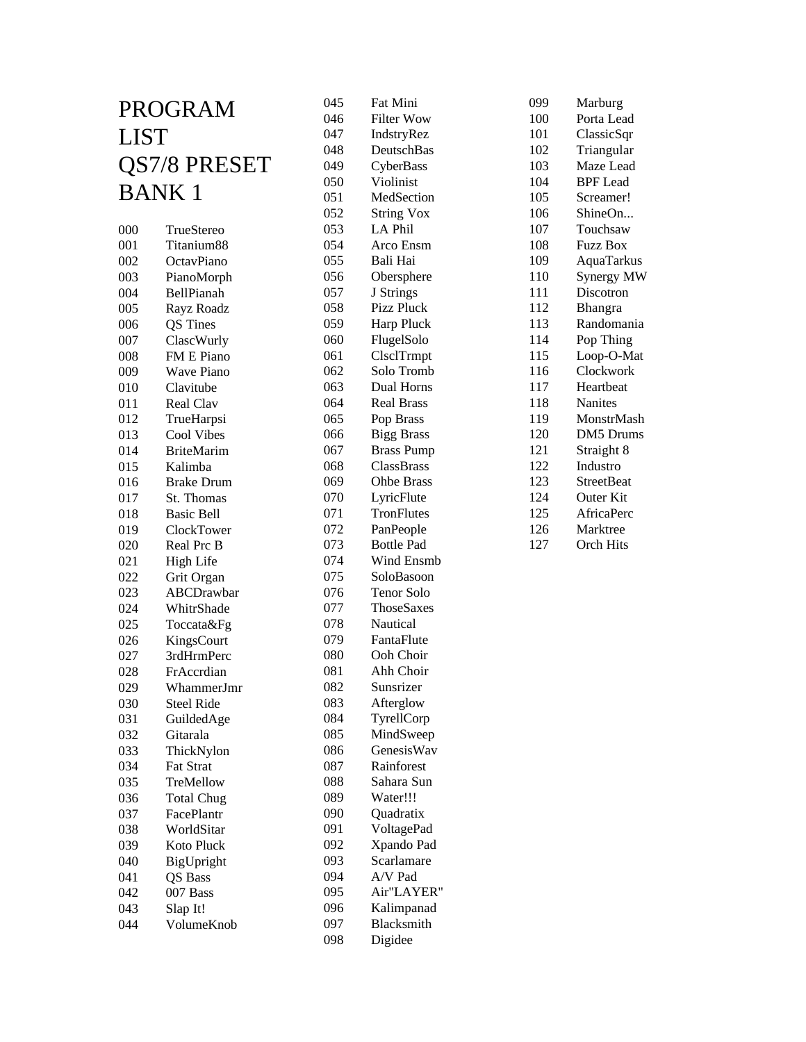| PROGRAM      |                                | 045        | Fat Mini                       |
|--------------|--------------------------------|------------|--------------------------------|
|              |                                | 046        | <b>Filter Wow</b>              |
| LIST         |                                | 047        | IndstryRez                     |
|              |                                | 048        | DeutschBas                     |
| QS7/8 PRESET |                                | 049        | CyberBass                      |
| <b>BANK1</b> |                                | 050        | Violinist                      |
|              |                                | 051        | MedSection                     |
|              |                                | 052        | <b>String Vox</b>              |
| 000          | TrueStereo                     | 053        | LA Phil                        |
| 001          | Titanium88                     | 054        | Arco Ensm                      |
| 002          | OctavPiano                     | 055        | Bali Hai                       |
| 003          | PianoMorph                     | 056        | Obersphere                     |
| 004          | BellPianah                     | 057        | J Strings                      |
| 005          | Rayz Roadz                     | 058        | Pizz Pluck                     |
| 006          | QS Tines                       | 059        | Harp Pluck                     |
| 007          | ClascWurly                     | 060        | FlugelSolo                     |
| 008          | <b>FM E Piano</b>              | 061        | ClsclTrmpt                     |
| 009          | <b>Wave Piano</b>              | 062        | Solo Tromb                     |
| 010          | Clavitube                      | 063        | Dual Horns                     |
| 011          | Real Clav                      | 064        | <b>Real Brass</b>              |
| 012          | TrueHarpsi                     | 065        | Pop Brass                      |
| 013          | Cool Vibes                     | 066        | <b>Bigg Brass</b>              |
| 014          | <b>BriteMarim</b>              | 067        | <b>Brass Pump</b>              |
| 015          | Kalimba                        | 068        | ClassBrass                     |
| 016          | <b>Brake Drum</b>              | 069        | <b>Ohbe Brass</b>              |
| 017          | St. Thomas                     | 070        | LyricFlute<br>TronFlutes       |
| 018          | <b>Basic Bell</b>              | 071        |                                |
| 019          | ClockTower                     | 072        | PanPeople<br><b>Bottle Pad</b> |
| 020          | Real Prc B                     | 073        | Wind Ensmb                     |
| 021          | <b>High Life</b>               | 074        | SoloBasoon                     |
| 022          | Grit Organ                     | 075        | Tenor Solo                     |
| 023          | ABCDrawbar                     | 076        | ThoseSaxes                     |
| 024          | WhitrShade                     | 077        | Nautical                       |
| 025          | Toccata&Fg                     | 078        | FantaFlute                     |
| 026          | KingsCourt                     | 079        | Ooh Choir                      |
| 027          | 3rdHrmPerc<br>FrAccrdian       | 080<br>081 | Ahh Choir                      |
| 028          | WhammerJmr                     | 082        | Sunsrizer                      |
| 029          |                                | 083        |                                |
| 030          | <b>Steel Ride</b>              | 084        | Afterglow                      |
| 031          | GuildedAge<br>Gitarala         | 085        | TyrellCorp<br>MindSweep        |
| 032          |                                | 086        | GenesisWav                     |
| 033          | ThickNylon<br><b>Fat Strat</b> | 087        | Rainforest                     |
| 034          | TreMellow                      |            | Sahara Sun                     |
| 035          | <b>Total Chug</b>              | 088<br>089 | Water!!!                       |
| 036          |                                | 090        | Quadratix                      |
| 037          | FacePlantr<br>WorldSitar       |            |                                |
| 038          | Koto Pluck                     | 091<br>092 | VoltagePad<br>Xpando Pad       |
| 039          |                                | 093        | Scarlamare                     |
| 040          | BigUpright                     | 094        | A/V Pad                        |
| 041          | QS Bass                        | 095        | Air"LAYER"                     |
| 042<br>043   | 007 Bass                       | 096        | Kalimpanad                     |
| 044          | Slap It!<br>VolumeKnob         | 097        | Blacksmith                     |
|              |                                | 098        | Digidee                        |
|              |                                |            |                                |

| 099 | Marburg           |
|-----|-------------------|
| 100 | Porta Lead        |
| 101 | ClassicSqr        |
| 102 | Triangular        |
| 103 | Maze Lead         |
| 104 | <b>BPF</b> Lead   |
| 105 | Screamer!         |
| 106 | ShineOn           |
| 107 | Touchsaw          |
| 108 | <b>Fuzz Box</b>   |
| 109 | AquaTarkus        |
| 110 | Synergy MW        |
| 111 | Discotron         |
| 112 | Bhangra           |
| 113 | Randomania        |
| 114 | Pop Thing         |
| 115 | Loop-O-Mat        |
| 116 | Clockwork         |
| 117 | Heartheat         |
| 118 | <b>Nanites</b>    |
| 119 | MonstrMash        |
| 120 | <b>DM5</b> Drums  |
| 121 | Straight 8        |
| 122 | Industro          |
| 123 | <b>StreetBeat</b> |
| 124 | Outer Kit         |
| 125 | AfricaPerc        |
| 126 | Marktree          |
| 127 | <b>Orch Hits</b>  |
|     |                   |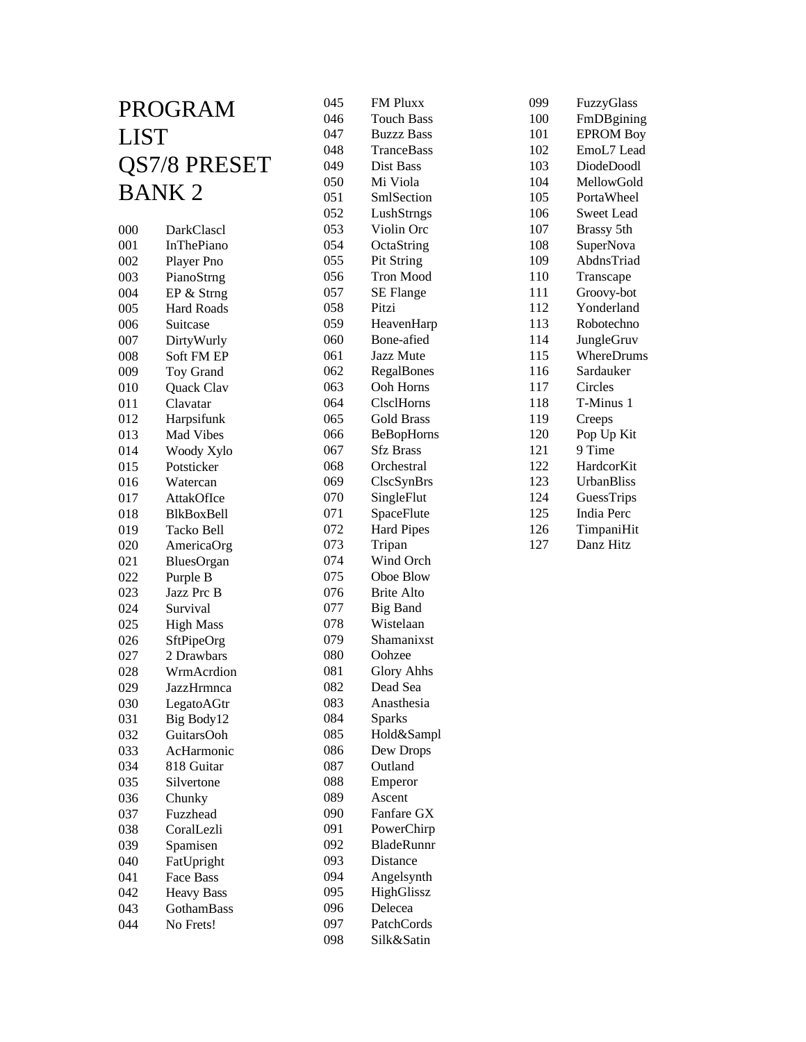| 045<br>PROGRAM |                               |            |
|----------------|-------------------------------|------------|
|                |                               | 046        |
| <b>LIST</b>    |                               | 047        |
|                |                               | 048        |
| QS7/8 PRESET   |                               | 049        |
| <b>BANK2</b>   |                               | 050        |
|                |                               | 051        |
|                |                               | 052        |
| 000            | DarkClascl                    | 053        |
| 001            | <b>InThePiano</b>             | 054        |
| 002            | Player Pno                    | 055        |
| 003            | PianoStrng                    | 056<br>057 |
| 004            | EP & Strng                    |            |
| 005<br>006     | <b>Hard Roads</b><br>Suitcase | 058<br>059 |
|                |                               | 060        |
| 007<br>008     | DirtyWurly<br>Soft FM EP      | 061        |
| 009            | Toy Grand                     | 062        |
| 010            | Quack Clav                    | 063        |
| 011            | Clavatar                      | 064        |
| 012            | Harpsifunk                    | 065        |
| 013            | Mad Vibes                     | 066        |
| 014            | Woody Xylo                    | 067        |
| 015            | Potsticker                    | 068        |
| 016            | Watercan                      | 069        |
| 017            | AttakOfIce                    | 070        |
| 018            | BlkBoxBell                    | 071        |
| 019            | Tacko Bell                    | 072        |
| 020            | AmericaOrg                    | 073        |
| 021            | BluesOrgan                    | 074        |
| 022            | Purple B                      | 075        |
| 023            | Jazz Prc B                    | 076        |
| 024            | Survival                      | 077        |
| 025            | <b>High Mass</b>              | 078        |
| 026            | SftPipeOrg                    | 079        |
| 027            | 2 Drawbars                    | 080        |
| 028            | WrmAcrdion                    | 081        |
| 029            | JazzHrmnca                    | 082        |
| 030            | LegatoAGtr                    | 083        |
| 031            | Big Body12                    | 084        |
| 032            | GuitarsOoh                    | 085        |
| 033            | AcHarmonic                    | 086        |
| 034            | 818 Guitar                    | 087        |
| 035            | Silvertone                    | 088        |
| 036            | Chunky                        | 089        |
| 037            | Fuzzhead                      | 090        |
| 038            | CoralLezli                    | 091        |
| 039            | Spamisen                      | 092        |
| 040            | FatUpright                    | 093        |
| 041            | Face Bass                     | 094        |
| 042<br>043     | <b>Heavy Bass</b>             | 095<br>096 |
| 044            | GothamBass<br>No Frets!       | 097        |
|                |                               | 098        |
|                |                               |            |

| 045 | FM Pluxx              |
|-----|-----------------------|
| 046 | <b>Touch Bass</b>     |
| 047 | <b>Buzzz Bass</b>     |
| 048 | TranceBass            |
| 049 | Dist Bass             |
| 050 | Mi Viola              |
| 051 | SmlSection            |
| 052 | LushStrngs            |
| 053 | Violin Orc            |
| 054 | OctaString            |
| 055 | Pit String            |
| 056 | <b>Tron Mood</b>      |
| 057 | <b>SE Flange</b>      |
| 058 | Pitzi                 |
| 059 | HeavenHarp            |
| 060 | Bone-afied            |
| 061 | Jazz Mute             |
| 062 | RegalBones            |
|     | Ooh Horns             |
| 063 |                       |
| 064 | ClsclHorns            |
| 065 | <b>Gold Brass</b>     |
| 066 | BeBopHorns            |
| 067 | <b>Sfz Brass</b>      |
| 068 | Orchestral            |
| 069 | ClscSynBrs            |
| 070 | SingleFlut            |
| 071 | SpaceFlute            |
| 072 | <b>Hard Pipes</b>     |
| 073 | Tripan                |
| 074 | Wind Orch             |
| 075 | Oboe Blow             |
| 076 | <b>Brite Alto</b>     |
| 077 | <b>Big Band</b>       |
| 078 | Wistelaan             |
| 079 | Shamanixst            |
| 080 | Oohzee                |
| 081 | <b>Glory Ahhs</b>     |
| 082 | Dead Sea              |
| 083 | Anasthesia            |
| 084 | <b>Sparks</b>         |
| 085 | Hold&Sampl            |
| 086 | Dew Drops             |
| 087 | Outland               |
| 088 | Emperor               |
| 089 | Ascent                |
| 090 | Fanfare GX            |
| 091 | PowerChirp            |
| 092 | BladeRunnr            |
| 093 | Distance              |
| 094 |                       |
| 095 | Angelsynth            |
|     | HighGlissz<br>Delecea |
| 096 |                       |
| 097 | PatchCords            |
| 098 | Silk&Satin            |

| 099 | FuzzyGlass        |
|-----|-------------------|
| 100 | FmDBgining        |
| 101 | <b>EPROM Boy</b>  |
| 102 | EmoL7 Lead        |
| 103 | DiodeDoodl        |
| 104 | MellowGold        |
| 105 | PortaWheel        |
| 106 | <b>Sweet Lead</b> |
| 107 | Brassy 5th        |
| 108 | SuperNova         |
| 109 | AbdnsTriad        |
| 110 | Transcape         |
| 111 | Groovy-bot        |
| 112 | Yonderland        |
| 113 | Robotechno        |
| 114 | JungleGruv        |
| 115 | WhereDrums        |
| 116 | Sardauker         |
| 117 | Circles           |
| 118 | T-Minus 1         |
| 119 | Creeps            |
| 120 | Pop Up Kit        |
| 121 | 9 Time            |
| 122 | HardcorKit        |
| 123 | <b>UrbanBliss</b> |
| 124 | GuessTrips        |
| 125 | <b>India Perc</b> |
| 126 | TimpaniHit        |
| 127 | Danz Hitz         |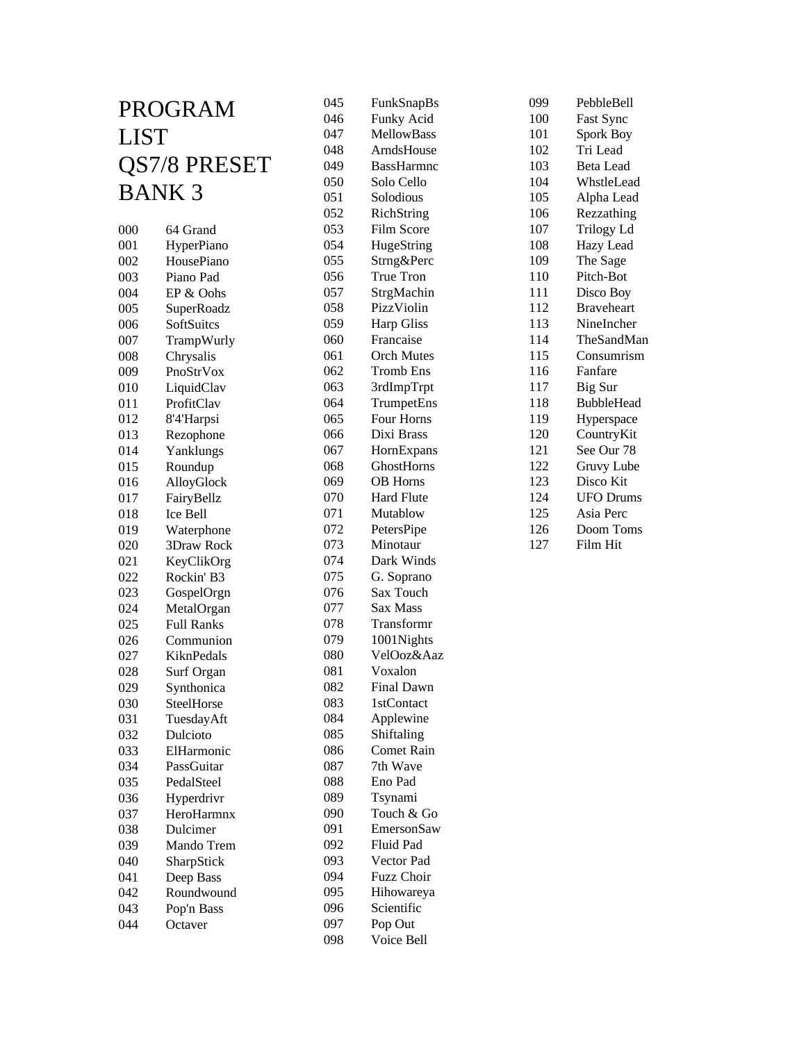| PROGRAM      |                   | 045 | FunkSnapBs        |
|--------------|-------------------|-----|-------------------|
|              |                   | 046 | Funky Acid        |
| LIST         |                   | 047 | <b>MellowBass</b> |
|              |                   | 048 | ArndsHouse        |
| QS7/8 PRESET |                   | 049 | <b>BassHarmnc</b> |
|              | <b>BANK3</b>      | 050 | Solo Cello        |
|              |                   | 051 | Solodious         |
|              |                   | 052 | RichString        |
| 000          | 64 Grand          | 053 | Film Score        |
| 001          | HyperPiano        | 054 | HugeString        |
| 002          | HousePiano        | 055 | Strng&Perc        |
| 003          | Piano Pad         | 056 | <b>True Tron</b>  |
| 004          | EP & Oohs         | 057 | StrgMachin        |
| 005          | SuperRoadz        | 058 | PizzViolin        |
| 006          | SoftSuitcs        | 059 | <b>Harp Gliss</b> |
| 007          | TrampWurly        | 060 | Francaise         |
| 008          | Chrysalis         | 061 | <b>Orch Mutes</b> |
| 009          | PnoStrVox         | 062 | Tromb Ens         |
| 010          | LiquidClav        | 063 | 3rdImpTrpt        |
| 011          | ProfitClav        | 064 | TrumpetEns        |
| 012          | 8'4'Harpsi        | 065 | Four Horns        |
| 013          | Rezophone         | 066 | Dixi Brass        |
| 014          | Yanklungs         | 067 | HornExpans        |
| 015          | Roundup           | 068 | GhostHorns        |
| 016          | AlloyGlock        | 069 | <b>OB</b> Horns   |
| 017          | FairyBellz        | 070 | <b>Hard Flute</b> |
| 018          | Ice Bell          | 071 | Mutablow          |
| 019          | Waterphone        | 072 | PetersPipe        |
| 020          | 3Draw Rock        | 073 | Minotaur          |
| 021          | KeyClikOrg        | 074 | Dark Winds        |
| 022          | Rockin' B3        | 075 | G. Soprano        |
| 023          | GospelOrgn        | 076 | Sax Touch         |
| 024          | MetalOrgan        | 077 | Sax Mass          |
| 025          | <b>Full Ranks</b> | 078 | Transformr        |
| 026          | Communion         | 079 | 1001Nights        |
| 027          | KiknPedals        | 080 | VelOoz&Aaz        |
| 028          | Surf Organ        | 081 | Voxalon           |
| 029          | Synthonica        | 082 | <b>Final Dawn</b> |
| 030          | SteelHorse        | 083 | 1stContact        |
| 031          | TuesdayAft        | 084 | Applewine         |
| 032          | Dulcioto          | 085 | Shiftaling        |
| 033          | ElHarmonic        | 086 | Comet Rain        |
| 034          | PassGuitar        | 087 | 7th Wave          |
| 035          | PedalSteel        | 088 | Eno Pad           |
| 036          | Hyperdrivr        | 089 | Tsynami           |
| 037          | HeroHarmnx        | 090 | Touch & Go        |
| 038          | Dulcimer          | 091 | EmersonSaw        |
| 039          | Mando Trem        | 092 | Fluid Pad         |
| 040          | SharpStick        | 093 | Vector Pad        |
| 041          | Deep Bass         | 094 | Fuzz Choir        |
| 042          | Roundwound        | 095 | Hihowareya        |
| 043          | Pop'n Bass        | 096 | Scientific        |
| 044          | Octaver           | 097 | Pop Out           |
|              |                   | 098 | Voice Bell        |

| 099 | PebbleBell        |
|-----|-------------------|
| 100 | Fast Sync         |
| 101 | Spork Boy         |
| 102 | Tri Lead          |
| 103 | <b>Beta Lead</b>  |
| 104 | WhstleLead        |
| 105 | Alpha Lead        |
| 106 | Rezzathing        |
| 107 | <b>Trilogy Ld</b> |
| 108 | Hazy Lead         |
| 109 | The Sage          |
| 110 | Pitch-Bot         |
| 111 | Disco Boy         |
| 112 | <b>Braveheart</b> |
| 113 | NineIncher        |
| 114 | TheSandMan        |
| 115 | Consumrism        |
| 116 | Fanfare           |
| 117 | Big Sur           |
| 118 | <b>BubbleHead</b> |
| 119 | Hyperspace        |
| 120 | CountryKit        |
| 121 | See Our 78        |
| 122 | Gruvy Lube        |
| 123 | Disco Kit         |
| 124 | <b>UFO</b> Drums  |
| 125 | Asia Perc         |
| 126 | Doom Toms         |
| 127 | Film Hit          |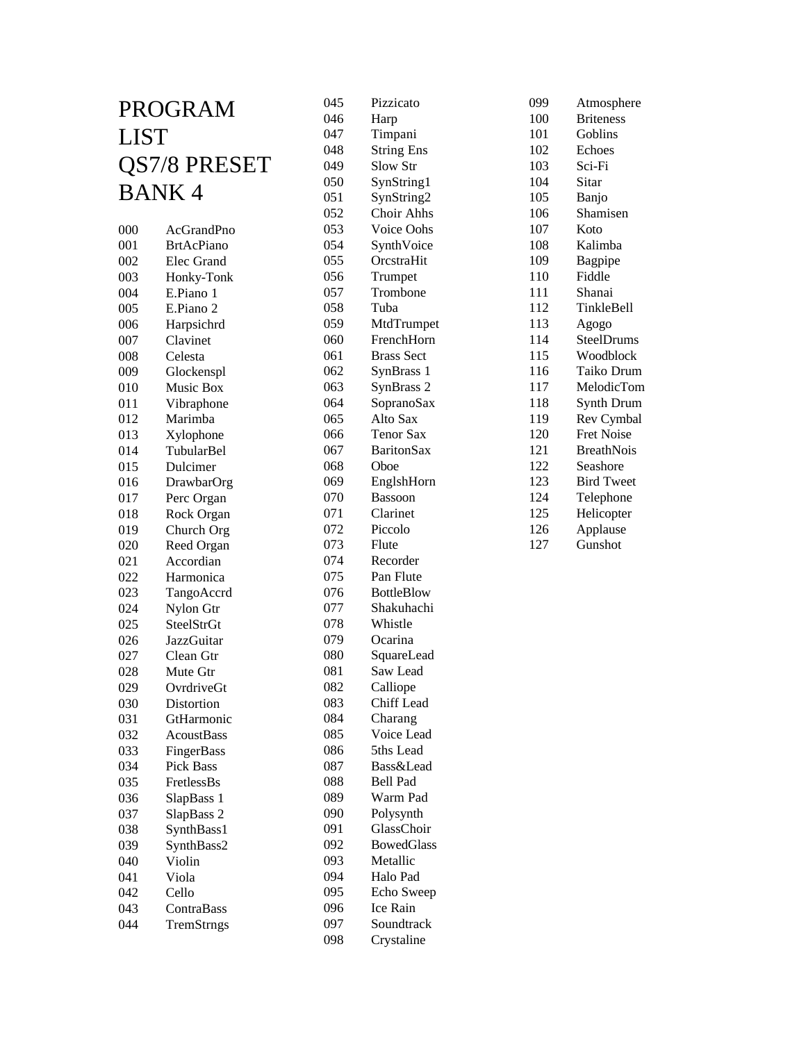| 045<br>PROGRAM |                          |            |
|----------------|--------------------------|------------|
|                |                          | 046        |
| <b>LIST</b>    |                          | 047        |
|                |                          | 048        |
| QS7/8 PRESET   |                          | 049        |
| <b>BANK4</b>   |                          | 050        |
|                |                          | 051        |
|                |                          | 052        |
| 000            | AcGrandPno               | 053        |
| 001            | <b>BrtAcPiano</b>        | 054        |
| 002            | Elec Grand               | 055        |
| 003            | Honky-Tonk               | 056        |
| 004            | E.Piano 1                | 057        |
| 005            | E.Piano 2                | 058        |
| 006            | Harpsichrd               | 059        |
| 007            | Clavinet                 | 060        |
| 008            | Celesta                  | 061        |
| 009            | Glockenspl               | 062        |
| 010            | Music Box                | 063        |
| 011            | Vibraphone               | 064        |
| 012            | Marimba                  | 065        |
| 013            | Xylophone<br>TubularBel  | 066        |
| 014            |                          | 067        |
| 015            | Dulcimer                 | 068        |
| 016            | DrawbarOrg               | 069        |
| 017            | Perc Organ               | 070        |
| 018            | Rock Organ               | 071        |
| 019            | Church Org               | 072        |
| 020            | Reed Organ               | 073        |
| 021            | Accordian                | 074        |
| 022            | Harmonica                | 075        |
| 023            | TangoAccrd               | 076<br>077 |
| 024            | Nylon Gtr<br>SteelStrGt  |            |
| 025<br>026     | <b>JazzGuitar</b>        | 078<br>079 |
|                | Clean Gtr                | 080        |
| 027<br>028     | Mute Gtr                 | 081        |
|                |                          | 082        |
| 029            | OvrdriveGt               | 083        |
| 030<br>031     | Distortion<br>GtHarmonic | 084        |
| 032            | <b>AcoustBass</b>        | 085        |
| 033            | FingerBass               | 086        |
| 034            | <b>Pick Bass</b>         | 087        |
| 035            | FretlessBs               | 088        |
| 036            | SlapBass 1               | 089        |
| 037            | SlapBass 2               | 090        |
|                |                          | 091        |
| 038<br>039     | SynthBass1               | 092        |
| 040            | SynthBass2<br>Violin     | 093        |
| 041            | Viola                    | 094        |
| 042            | Cello                    | 095        |
| 043            | ContraBass               | 096        |
| 044            | TremStrngs               | 097        |
|                |                          | 098        |
|                |                          |            |

| 045 | Pizzicato            |
|-----|----------------------|
| 046 | Harp                 |
| 047 | Timpani              |
| 048 | <b>String Ens</b>    |
| 049 | Slow Str             |
| 050 | SynString1           |
| 051 | SynString2           |
| 052 | <b>Choir Ahhs</b>    |
| 053 | Voice Oohs           |
| 054 | SynthVoice           |
| 055 | OrcstraHit           |
| 056 | Trumpet              |
| 057 | Trombone             |
| 058 | Tuba                 |
| 059 | MtdTrumpet           |
| 060 | FrenchHorn           |
| 061 | <b>Brass Sect</b>    |
| 062 | SynBrass 1           |
| 063 | SynBrass 2           |
| 064 | SopranoSax           |
| 065 | Alto Sax             |
| 066 | <b>Tenor Sax</b>     |
| 067 | <b>BaritonSax</b>    |
| 068 | Oboe                 |
| 069 | EnglshHorn           |
| 070 | Bassoon              |
| 071 | Clarinet             |
| 072 | Piccolo              |
| 073 | Flute                |
| 074 | Recorder             |
| 075 | Pan Flute            |
| 076 | <b>BottleBlow</b>    |
| 077 | Shakuhachi           |
| 078 | Whistle              |
| 079 | Ocarina              |
| 080 | SquareLead           |
| 081 | Saw Lead             |
| 082 | Calliope             |
| 083 | <b>Chiff</b> Lead    |
| 084 | Charang              |
| 085 | Voice Lead           |
| 086 | 5ths Lead            |
| 087 | <b>Bass&amp;Lead</b> |
| 088 | <b>Bell Pad</b>      |
| 089 | Warm Pad             |
| 090 | Polysynth            |
| 091 | GlassChoir           |
| 092 | <b>BowedGlass</b>    |
| 093 | Metallic             |
| 094 | Halo Pad             |
| 095 | Echo Sweep           |
| 096 | Ice Rain             |
| 097 | Soundtrack           |
| 098 | Crystaline           |
|     |                      |
|     |                      |

| 099 | Atmosphere        |
|-----|-------------------|
| 100 | <b>Briteness</b>  |
| 101 | Goblins           |
| 102 | Echoes            |
| 103 | Sci-Fi            |
| 104 | Sitar             |
| 105 | Banjo             |
| 106 | Shamisen          |
| 107 | Koto              |
| 108 | Kalimba           |
| 109 | Bagpipe           |
| 110 | Fiddle            |
| 111 | Shanai            |
| 112 | TinkleBell        |
| 113 | Agogo             |
| 114 | SteelDrums        |
| 115 | Woodblock         |
| 116 | Taiko Drum        |
| 117 | MelodicTom        |
| 118 | Synth Drum        |
| 119 | Rev Cymbal        |
| 120 | <b>Fret Noise</b> |
| 121 | <b>BreathNois</b> |
| 122 | Seashore          |
| 123 | <b>Bird Tweet</b> |
| 124 | Telephone         |
| 125 | Helicopter        |
| 126 | Applause          |
| 127 | Gunshot           |
|     |                   |